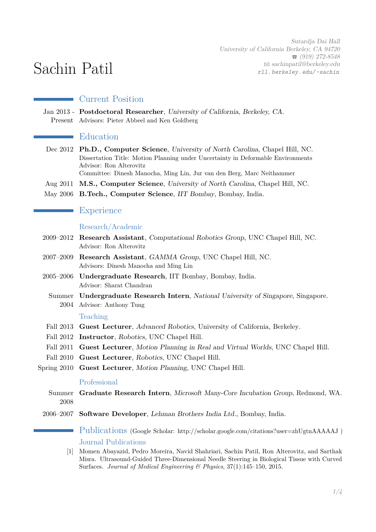Sutardja Dai Hall University of California Berkeley, CA 94720  $\bullet$  (919) 272-8548  $\boxtimes$  [sachinpatil@berkeley.edu](mailto:sachinpatil@berkeley.edu) [rll. berkeley. edu/ ~sachin](http://rll.berkeley.edu/~sachin)

# Sachin Patil

# Current Position

Jan 2013 - **Postdoctoral Researcher**, University of California, Berkeley, CA. Present Advisors: Pieter Abbeel and Ken Goldberg

# **E**ducation

- Dec 2012 **Ph.D., Computer Science**, University of North Carolina, Chapel Hill, NC. Dissertation Title: Motion Planning under Uncertainty in Deformable Environments Advisor: Ron Alterovitz
	- Committee: Dinesh Manocha, Ming Lin, Jur van den Berg, Marc Neithammer
- Aug 2011 **M.S., Computer Science**, University of North Carolina, Chapel Hill, NC.
- May 2006 **B.Tech., Computer Science**, IIT Bombay, Bombay, India.

# **Experience**

## Research/Academic

- 2009–2012 **Research Assistant**, Computational Robotics Group, UNC Chapel Hill, NC. Advisor: Ron Alterovitz
- 2007–2009 **Research Assistant**, GAMMA Group, UNC Chapel Hill, NC. Advisors: Dinesh Manocha and Ming Lin
- 2005–2006 **Undergraduate Research**, IIT Bombay, Bombay, India. Advisor: Sharat Chandran
	- Summer **Undergraduate Research Intern**, National University of Singapore, Singapore. 2004 Advisor: Anthony Tung

## Teaching

- Fall 2013 **Guest Lecturer**, Advanced Robotics, University of California, Berkeley.
- Fall 2012 **Instructor**, Robotics, UNC Chapel Hill.
- Fall 2011 **Guest Lecturer**, Motion Planning in Real and Virtual Worlds, UNC Chapel Hill.
- Fall 2010 **Guest Lecturer**, Robotics, UNC Chapel Hill.
- Spring 2010 **Guest Lecturer**, Motion Planning, UNC Chapel Hill.

## Professional

- Summer **Graduate Research Intern**, Microsoft Many-Core Incubation Group, Redmond, WA. 2008
- 2006–2007 **Software Developer**, Lehman Brothers India Ltd., Bombay, India.

Publications (Google Scholar: http://scholar.google.com/citations?user=zhUgtnAAAAAJ ) Journal Publications

[1] Momen Abayazid, Pedro Moreira, Navid Shahriari, Sachin Patil, Ron Alterovitz, and Sarthak Misra. Ultrasound-Guided Three-Dimensional Needle Steering in Biological Tissue with Curved Surfaces. *Journal of Medical Engineering & Physics*, 37(1):145–150, 2015.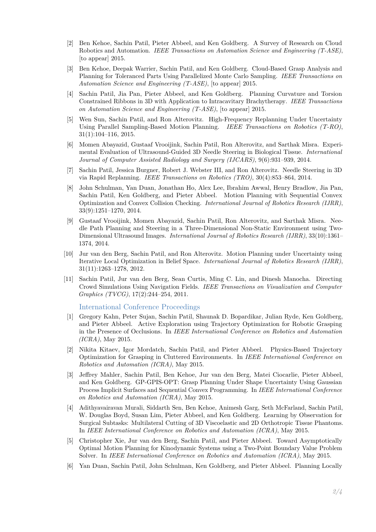- [2] Ben Kehoe, Sachin Patil, Pieter Abbeel, and Ken Goldberg. A Survey of Research on Cloud Robotics and Automation. *IEEE Transactions on Automation Science and Engineering (T-ASE)*, [to appear] 2015.
- [3] Ben Kehoe, Deepak Warrier, Sachin Patil, and Ken Goldberg. Cloud-Based Grasp Analysis and Planning for Toleranced Parts Using Parallelized Monte Carlo Sampling. *IEEE Transactions on Automation Science and Engineering (T-ASE)*, [to appear] 2015.
- [4] Sachin Patil, Jia Pan, Pieter Abbeel, and Ken Goldberg. Planning Curvature and Torsion Constrained Ribbons in 3D with Application to Intracavitary Brachytherapy. *IEEE Transactions on Automation Science and Engineering (T-ASE)*, [to appear] 2015.
- [5] Wen Sun, Sachin Patil, and Ron Alterovitz. High-Frequency Replanning Under Uncertainty Using Parallel Sampling-Based Motion Planning. *IEEE Transactions on Robotics (T-RO)*, 31(1):104–116, 2015.
- [6] Momen Abayazid, Gustaaf Vrooijink, Sachin Patil, Ron Alterovitz, and Sarthak Misra. Experimental Evaluation of Ultrasound-Guided 3D Needle Steering in Biological Tissue. *International Journal of Computer Assisted Radiology and Surgery (IJCARS)*, 9(6):931–939, 2014.
- [7] Sachin Patil, Jessica Burgner, Robert J. Webster III, and Ron Alterovitz. Needle Steering in 3D via Rapid Replanning. *IEEE Transactions on Robotics (TRO)*, 30(4):853–864, 2014.
- [8] John Schulman, Yan Duan, Jonathan Ho, Alex Lee, Ibrahim Awwal, Henry Bradlow, Jia Pan, Sachin Patil, Ken Goldberg, and Pieter Abbeel. Motion Planning with Sequential Convex Optimization and Convex Collision Checking. *International Journal of Robotics Research (IJRR)*, 33(9):1251–1270, 2014.
- [9] Gustaaf Vrooijink, Momen Abayazid, Sachin Patil, Ron Alterovitz, and Sarthak Misra. Needle Path Planning and Steering in a Three-Dimensional Non-Static Environment using Two-Dimensional Ultrasound Images. *International Journal of Robotics Research (IJRR)*, 33(10):1361– 1374, 2014.
- [10] Jur van den Berg, Sachin Patil, and Ron Alterovitz. Motion Planning under Uncertainty using Iterative Local Optimization in Belief Space. *International Journal of Robotics Research (IJRR)*, 31(11):1263–1278, 2012.
- [11] Sachin Patil, Jur van den Berg, Sean Curtis, Ming C. Lin, and Dinesh Manocha. Directing Crowd Simulations Using Navigation Fields. *IEEE Transactions on Visualization and Computer Graphics (TVCG)*, 17(2):244–254, 2011.

#### International Conference Proceedings

- [1] Gregory Kahn, Peter Sujan, Sachin Patil, Shaunak D. Bopardikar, Julian Ryde, Ken Goldberg, and Pieter Abbeel. Active Exploration using Trajectory Optimization for Robotic Grasping in the Presence of Occlusions. In *IEEE International Conference on Robotics and Automation (ICRA)*, May 2015.
- [2] Nikita Kitaev, Igor Mordatch, Sachin Patil, and Pieter Abbeel. Physics-Based Trajectory Optimization for Grasping in Cluttered Environments. In *IEEE International Conference on Robotics and Automation (ICRA)*, May 2015.
- [3] Jeffrey Mahler, Sachin Patil, Ben Kehoe, Jur van den Berg, Matei Ciocarlie, Pieter Abbeel, and Ken Goldberg. GP-GPIS-OPT: Grasp Planning Under Shape Uncertainty Using Gaussian Process Implicit Surfaces and Sequential Convex Programming. In *IEEE International Conference on Robotics and Automation (ICRA)*, May 2015.
- [4] Adithyavairavan Murali, Siddarth Sen, Ben Kehoe, Animesh Garg, Seth McFarland, Sachin Patil, W. Douglas Boyd, Susan Lim, Pieter Abbeel, and Ken Goldberg. Learning by Observation for Surgical Subtasks: Multilateral Cutting of 3D Viscoelastic and 2D Orthotropic Tissue Phantoms. In *IEEE International Conference on Robotics and Automation (ICRA)*, May 2015.
- [5] Christopher Xie, Jur van den Berg, Sachin Patil, and Pieter Abbeel. Toward Asymptotically Optimal Motion Planning for Kinodynamic Systems using a Two-Point Boundary Value Problem Solver. In *IEEE International Conference on Robotics and Automation (ICRA)*, May 2015.
- [6] Yan Duan, Sachin Patil, John Schulman, Ken Goldberg, and Pieter Abbeel. Planning Locally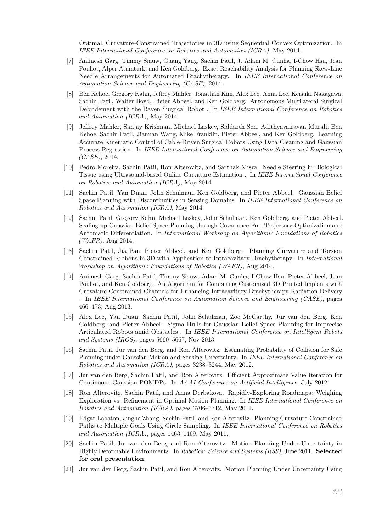Optimal, Curvature-Constrained Trajectories in 3D using Sequential Convex Optimization. In *IEEE International Conference on Robotics and Automation (ICRA)*, May 2014.

- [7] Animesh Garg, Timmy Siauw, Guang Yang, Sachin Patil, J. Adam M. Cunha, I-Chow Hsu, Jean Pouliot, Alper Atamturk, and Ken Goldberg. Exact Reachability Analysis for Planning Skew-Line Needle Arrangements for Automated Brachytherapy. In *IEEE International Conference on Automation Science and Engineering (CASE)*, 2014.
- [8] Ben Kehoe, Gregory Kahn, Jeffrey Mahler, Jonathan Kim, Alex Lee, Anna Lee, Keisuke Nakagawa, Sachin Patil, Walter Boyd, Pieter Abbeel, and Ken Goldberg. Autonomous Multilateral Surgical Debridement with the Raven Surgical Robot . In *IEEE International Conference on Robotics and Automation (ICRA)*, May 2014.
- [9] Jeffrey Mahler, Sanjay Krishnan, Michael Laskey, Siddarth Sen, Adithyavairavan Murali, Ben Kehoe, Sachin Patil, Jiannan Wang, Mike Franklin, Pieter Abbeel, and Ken Goldberg. Learning Accurate Kinematic Control of Cable-Driven Surgical Robots Using Data Cleaning and Gaussian Process Regression. In *IEEE International Conference on Automation Science and Engineering (CASE)*, 2014.
- [10] Pedro Moreira, Sachin Patil, Ron Alterovitz, and Sarthak Misra. Needle Steering in Biological Tissue using Ultrasound-based Online Curvature Estimation . In *IEEE International Conference on Robotics and Automation (ICRA)*, May 2014.
- [11] Sachin Patil, Yan Duan, John Schulman, Ken Goldberg, and Pieter Abbeel. Gaussian Belief Space Planning with Discontinuities in Sensing Domains. In *IEEE International Conference on Robotics and Automation (ICRA)*, May 2014.
- [12] Sachin Patil, Gregory Kahn, Michael Laskey, John Schulman, Ken Goldberg, and Pieter Abbeel. Scaling up Gaussian Belief Space Planning through Covariance-Free Trajectory Optimization and Automatic Differentiation. In *International Workshop on Algorithmic Foundations of Robotics (WAFR)*, Aug 2014.
- [13] Sachin Patil, Jia Pan, Pieter Abbeel, and Ken Goldberg. Planning Curvature and Torsion Constrained Ribbons in 3D with Application to Intracavitary Brachytherapy. In *International Workshop on Algorithmic Foundations of Robotics (WAFR)*, Aug 2014.
- [14] Animesh Garg, Sachin Patil, Timmy Siauw, Adam M. Cunha, I-Chow Hsu, Pieter Abbeel, Jean Pouliot, and Ken Goldberg. An Algorithm for Computing Customized 3D Printed Implants with Curvature Constrained Channels for Enhancing Intracavitary Brachytherapy Radiation Delivery . In *IEEE International Conference on Automation Science and Engineering (CASE)*, pages 466–473, Aug 2013.
- [15] Alex Lee, Yan Duan, Sachin Patil, John Schulman, Zoe McCarthy, Jur van den Berg, Ken Goldberg, and Pieter Abbeel. Sigma Hulls for Gaussian Belief Space Planning for Imprecise Articulated Robots amid Obstacles . In *IEEE International Conference on Intelligent Robots and Systems (IROS)*, pages 5660–5667, Nov 2013.
- [16] Sachin Patil, Jur van den Berg, and Ron Alterovitz. Estimating Probability of Collision for Safe Planning under Gaussian Motion and Sensing Uncertainty. In *IEEE International Conference on Robotics and Automation (ICRA)*, pages 3238–3244, May 2012.
- [17] Jur van den Berg, Sachin Patil, and Ron Alterovitz. Efficient Approximate Value Iteration for Continuous Gaussian POMDPs. In *AAAI Conference on Artificial Intelligence*, July 2012.
- [18] Ron Alterovitz, Sachin Patil, and Anna Derbakova. Rapidly-Exploring Roadmaps: Weighing Exploration vs. Refinement in Optimal Motion Planning. In *IEEE International Conference on Robotics and Automation (ICRA)*, pages 3706–3712, May 2011.
- [19] Edgar Lobaton, Jinghe Zhang, Sachin Patil, and Ron Alterovitz. Planning Curvature-Constrained Paths to Multiple Goals Using Circle Sampling. In *IEEE International Conference on Robotics and Automation (ICRA)*, pages 1463–1469, May 2011.
- [20] Sachin Patil, Jur van den Berg, and Ron Alterovitz. Motion Planning Under Uncertainty in Highly Deformable Environments. In *Robotics: Science and Systems (RSS)*, June 2011. **Selected for oral presentation**.
- [21] Jur van den Berg, Sachin Patil, and Ron Alterovitz. Motion Planning Under Uncertainty Using